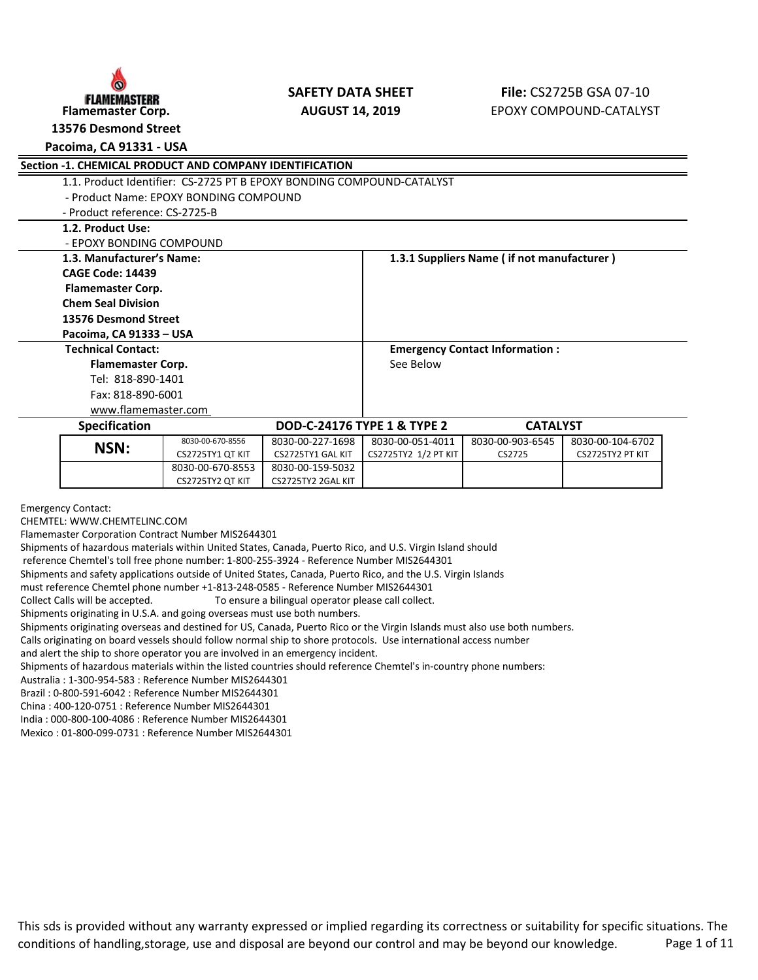

**13576 Desmond Street**

## **Pacoima, CA 91331 - USA**

| <b>Section -1. CHEMICAL PRODUCT AND COMPANY IDENTIFICATION</b>        |                                        |                   |                                        |                                            |                  |  |
|-----------------------------------------------------------------------|----------------------------------------|-------------------|----------------------------------------|--------------------------------------------|------------------|--|
| 1.1. Product Identifier: CS-2725 PT B EPOXY BONDING COMPOUND-CATALYST |                                        |                   |                                        |                                            |                  |  |
|                                                                       | - Product Name: EPOXY BONDING COMPOUND |                   |                                        |                                            |                  |  |
| - Product reference: CS-2725-B                                        |                                        |                   |                                        |                                            |                  |  |
| 1.2. Product Use:                                                     |                                        |                   |                                        |                                            |                  |  |
| - EPOXY BONDING COMPOUND                                              |                                        |                   |                                        |                                            |                  |  |
| 1.3. Manufacturer's Name:                                             |                                        |                   |                                        | 1.3.1 Suppliers Name (if not manufacturer) |                  |  |
| <b>CAGE Code: 14439</b>                                               |                                        |                   |                                        |                                            |                  |  |
| <b>Flamemaster Corp.</b>                                              |                                        |                   |                                        |                                            |                  |  |
| <b>Chem Seal Division</b>                                             |                                        |                   |                                        |                                            |                  |  |
| 13576 Desmond Street                                                  |                                        |                   |                                        |                                            |                  |  |
| Pacoima, CA 91333 - USA                                               |                                        |                   |                                        |                                            |                  |  |
| <b>Technical Contact:</b>                                             |                                        |                   |                                        | <b>Emergency Contact Information:</b>      |                  |  |
| <b>Flamemaster Corp.</b>                                              |                                        |                   | See Below                              |                                            |                  |  |
| Tel: 818-890-1401                                                     |                                        |                   |                                        |                                            |                  |  |
| Fax: 818-890-6001                                                     |                                        |                   |                                        |                                            |                  |  |
| www.flamemaster.com                                                   |                                        |                   |                                        |                                            |                  |  |
| <b>Specification</b>                                                  |                                        |                   | <b>DOD-C-24176 TYPE 1 &amp; TYPE 2</b> | <b>CATALYST</b>                            |                  |  |
| NSN:                                                                  | 8030-00-670-8556                       | 8030-00-227-1698  | 8030-00-051-4011                       | 8030-00-903-6545                           | 8030-00-104-6702 |  |
|                                                                       | CS2725TY1 QT KIT                       | CS2725TY1 GAL KIT | CS2725TY2 1/2 PT KIT                   | CS2725                                     | CS2725TY2 PT KIT |  |
|                                                                       | 8030-00-670-8553                       | 8030-00-159-5032  |                                        |                                            |                  |  |

Emergency Contact:

CHEMTEL: WWW.CHEMTELINC.COM

Flamemaster Corporation Contract Number MIS2644301

Shipments of hazardous materials within United States, Canada, Puerto Rico, and U.S. Virgin Island should

CS2725TY2 QT KIT CS2725TY2 2GAL KIT

reference Chemtel's toll free phone number: 1-800-255-3924 - Reference Number MIS2644301

Shipments and safety applications outside of United States, Canada, Puerto Rico, and the U.S. Virgin Islands

must reference Chemtel phone number +1-813-248-0585 - Reference Number MIS2644301

Collect Calls will be accepted. To ensure a bilingual operator please call collect.

Shipments originating in U.S.A. and going overseas must use both numbers.

Shipments originating overseas and destined for US, Canada, Puerto Rico or the Virgin Islands must also use both numbers.

Calls originating on board vessels should follow normal ship to shore protocols. Use international access number

and alert the ship to shore operator you are involved in an emergency incident.

Shipments of hazardous materials within the listed countries should reference Chemtel's in-country phone numbers:

Australia : 1-300-954-583 : Reference Number MIS2644301

Brazil : 0-800-591-6042 : Reference Number MIS2644301

China : 400-120-0751 : Reference Number MIS2644301

India : 000-800-100-4086 : Reference Number MIS2644301

Mexico : 01-800-099-0731 : Reference Number MIS2644301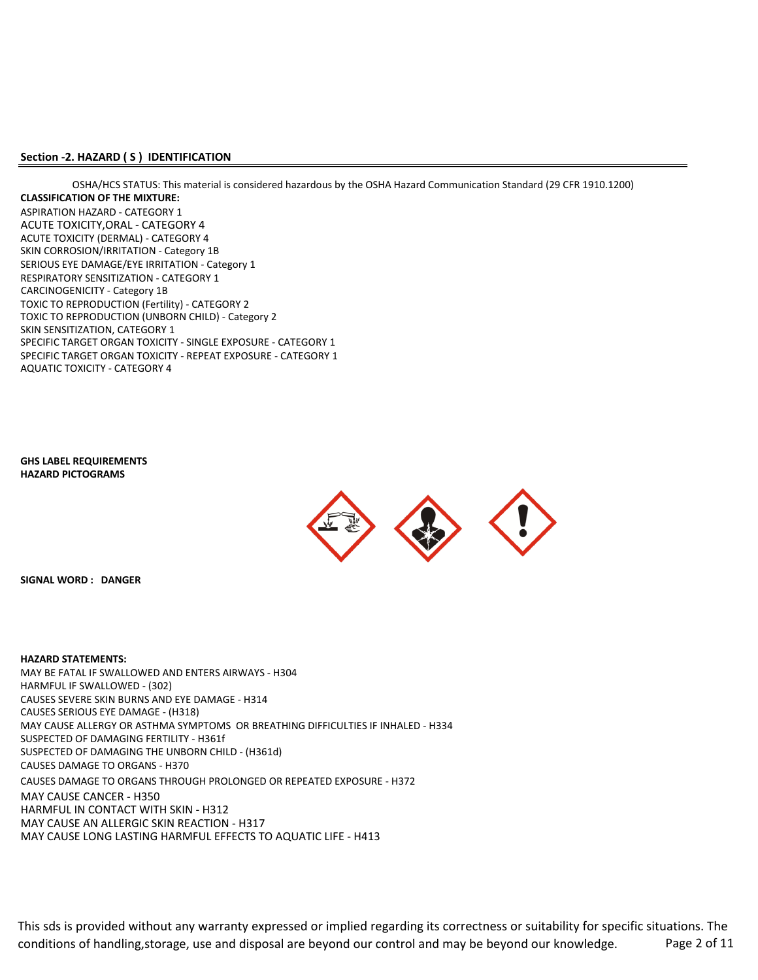### **Section -2. HAZARD ( S ) IDENTIFICATION**

ASPIRATION HAZARD - CATEGORY 1 ACUTE TOXICITY,ORAL - CATEGORY 4 ACUTE TOXICITY (DERMAL) - CATEGORY 4 RESPIRATORY SENSITIZATION - CATEGORY 1 TOXIC TO REPRODUCTION (Fertility) - CATEGORY 2 SKIN SENSITIZATION, CATEGORY 1 SPECIFIC TARGET ORGAN TOXICITY - SINGLE EXPOSURE - CATEGORY 1 SPECIFIC TARGET ORGAN TOXICITY - REPEAT EXPOSURE - CATEGORY 1 TOXIC TO REPRODUCTION (UNBORN CHILD) - Category 2 **CLASSIFICATION OF THE MIXTURE:** SKIN CORROSION/IRRITATION - Category 1B SERIOUS EYE DAMAGE/EYE IRRITATION - Category 1 OSHA/HCS STATUS: This material is considered hazardous by the OSHA Hazard Communication Standard (29 CFR 1910.1200) CARCINOGENICITY - Category 1B AQUATIC TOXICITY - CATEGORY 4

**HAZARD PICTOGRAMS GHS LABEL REQUIREMENTS**



**SIGNAL WORD : DANGER**

#### **HAZARD STATEMENTS:**

MAY BE FATAL IF SWALLOWED AND ENTERS AIRWAYS - H304 HARMFUL IF SWALLOWED - (302) CAUSES SEVERE SKIN BURNS AND EYE DAMAGE - H314 MAY CAUSE ALLERGY OR ASTHMA SYMPTOMS OR BREATHING DIFFICULTIES IF INHALED - H334 SUSPECTED OF DAMAGING FERTILITY - H361f CAUSES DAMAGE TO ORGANS - H370 CAUSES DAMAGE TO ORGANS THROUGH PROLONGED OR REPEATED EXPOSURE - H372 MAY CAUSE CANCER - H350 HARMFUL IN CONTACT WITH SKIN - H312 MAY CAUSE AN ALLERGIC SKIN REACTION - H317 MAY CAUSE LONG LASTING HARMFUL EFFECTS TO AQUATIC LIFE - H413 SUSPECTED OF DAMAGING THE UNBORN CHILD - (H361d) CAUSES SERIOUS EYE DAMAGE - (H318)

This sds is provided without any warranty expressed or implied regarding its correctness or suitability for specific situations. The conditions of handling,storage, use and disposal are beyond our control and may be beyond our knowledge. Page 2 of 11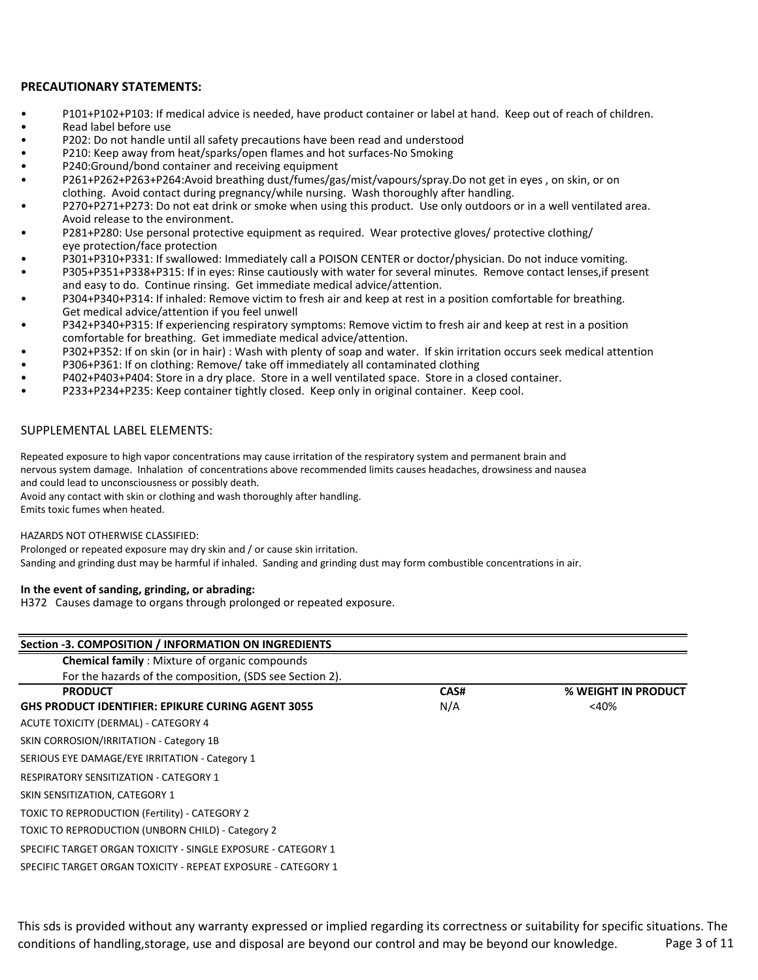## **PRECAUTIONARY STATEMENTS:**

- P101+P102+P103: If medical advice is needed, have product container or label at hand. Keep out of reach of children.
- Read label before use
- P202: Do not handle until all safety precautions have been read and understood
- P210: Keep away from heat/sparks/open flames and hot surfaces-No Smoking
- P240:Ground/bond container and receiving equipment
- P261+P262+P263+P264:Avoid breathing dust/fumes/gas/mist/vapours/spray.Do not get in eyes , on skin, or on clothing. Avoid contact during pregnancy/while nursing. Wash thoroughly after handling.
- P270+P271+P273: Do not eat drink or smoke when using this product. Use only outdoors or in a well ventilated area. Avoid release to the environment.
- P281+P280: Use personal protective equipment as required. Wear protective gloves/ protective clothing/ eye protection/face protection
- P301+P310+P331: If swallowed: Immediately call a POISON CENTER or doctor/physician. Do not induce vomiting.
- P305+P351+P338+P315: If in eyes: Rinse cautiously with water for several minutes. Remove contact lenses,if present and easy to do. Continue rinsing. Get immediate medical advice/attention.
- P304+P340+P314: If inhaled: Remove victim to fresh air and keep at rest in a position comfortable for breathing. Get medical advice/attention if you feel unwell
- P342+P340+P315: If experiencing respiratory symptoms: Remove victim to fresh air and keep at rest in a position comfortable for breathing. Get immediate medical advice/attention.
- P302+P352: If on skin (or in hair) : Wash with plenty of soap and water. If skin irritation occurs seek medical attention
- P306+P361: If on clothing: Remove/ take off immediately all contaminated clothing
- P402+P403+P404: Store in a dry place. Store in a well ventilated space. Store in a closed container.
- P233+P234+P235: Keep container tightly closed. Keep only in original container. Keep cool.

## SUPPLEMENTAL LABEL ELEMENTS:

nervous system damage. Inhalation of concentrations above recommended limits causes headaches, drowsiness and nausea Repeated exposure to high vapor concentrations may cause irritation of the respiratory system and permanent brain and and could lead to unconsciousness or possibly death.

Avoid any contact with skin or clothing and wash thoroughly after handling. Emits toxic fumes when heated.

#### HAZARDS NOT OTHERWISE CLASSIFIED:

Prolonged or repeated exposure may dry skin and / or cause skin irritation. Sanding and grinding dust may be harmful if inhaled. Sanding and grinding dust may form combustible concentrations in air.

#### **In the event of sanding, grinding, or abrading:**

H372 Causes damage to organs through prolonged or repeated exposure.

| Section -3. COMPOSITION / INFORMATION ON INGREDIENTS          |      |                     |  |  |
|---------------------------------------------------------------|------|---------------------|--|--|
| <b>Chemical family:</b> Mixture of organic compounds          |      |                     |  |  |
| For the hazards of the composition, (SDS see Section 2).      |      |                     |  |  |
| <b>PRODUCT</b>                                                | CAS# | % WEIGHT IN PRODUCT |  |  |
| <b>GHS PRODUCT IDENTIFIER: EPIKURE CURING AGENT 3055</b>      | N/A  | $<$ 40%             |  |  |
| ACUTE TOXICITY (DERMAL) - CATEGORY 4                          |      |                     |  |  |
| SKIN CORROSION/IRRITATION - Category 1B                       |      |                     |  |  |
| SERIOUS EYE DAMAGE/EYE IRRITATION - Category 1                |      |                     |  |  |
| <b>RESPIRATORY SENSITIZATION - CATEGORY 1</b>                 |      |                     |  |  |
| SKIN SENSITIZATION, CATEGORY 1                                |      |                     |  |  |
| TOXIC TO REPRODUCTION (Fertility) - CATEGORY 2                |      |                     |  |  |
| TOXIC TO REPRODUCTION (UNBORN CHILD) - Category 2             |      |                     |  |  |
| SPECIFIC TARGET ORGAN TOXICITY - SINGLE EXPOSURE - CATEGORY 1 |      |                     |  |  |
| SPECIFIC TARGET ORGAN TOXICITY - REPEAT EXPOSURE - CATEGORY 1 |      |                     |  |  |

This sds is provided without any warranty expressed or implied regarding its correctness or suitability for specific situations. The conditions of handling, storage, use and disposal are beyond our control and may be beyond our knowledge. Page 3 of 11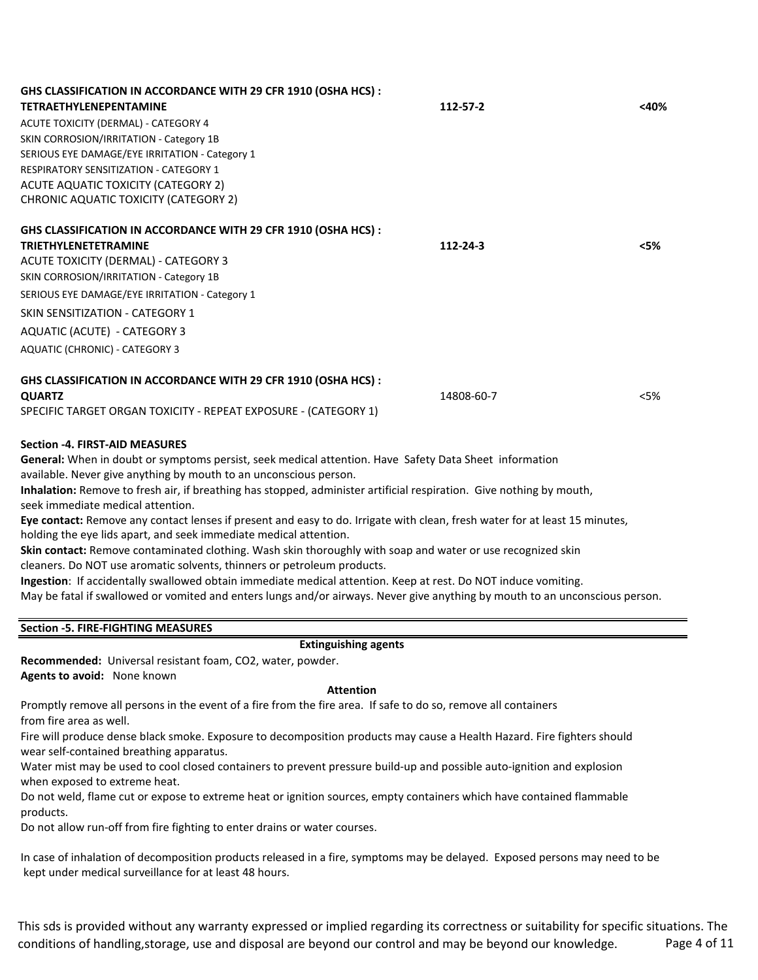| GHS CLASSIFICATION IN ACCORDANCE WITH 29 CFR 1910 (OSHA HCS) :                                                                                                                                   |            |         |
|--------------------------------------------------------------------------------------------------------------------------------------------------------------------------------------------------|------------|---------|
| <b>TETRAETHYLENEPENTAMINE</b>                                                                                                                                                                    | 112-57-2   | $<$ 40% |
| ACUTE TOXICITY (DERMAL) - CATEGORY 4                                                                                                                                                             |            |         |
| SKIN CORROSION/IRRITATION - Category 1B                                                                                                                                                          |            |         |
| SERIOUS EYE DAMAGE/EYE IRRITATION - Category 1                                                                                                                                                   |            |         |
| <b>RESPIRATORY SENSITIZATION - CATEGORY 1</b>                                                                                                                                                    |            |         |
| ACUTE AQUATIC TOXICITY (CATEGORY 2)                                                                                                                                                              |            |         |
| CHRONIC AQUATIC TOXICITY (CATEGORY 2)                                                                                                                                                            |            |         |
| GHS CLASSIFICATION IN ACCORDANCE WITH 29 CFR 1910 (OSHA HCS) :                                                                                                                                   |            |         |
| <b>TRIETHYLENETETRAMINE</b>                                                                                                                                                                      | 112-24-3   | $<$ 5%  |
| ACUTE TOXICITY (DERMAL) - CATEGORY 3                                                                                                                                                             |            |         |
| SKIN CORROSION/IRRITATION - Category 1B                                                                                                                                                          |            |         |
| SERIOUS EYE DAMAGE/EYE IRRITATION - Category 1                                                                                                                                                   |            |         |
| <b>SKIN SENSITIZATION - CATEGORY 1</b>                                                                                                                                                           |            |         |
| AQUATIC (ACUTE) - CATEGORY 3                                                                                                                                                                     |            |         |
| AQUATIC (CHRONIC) - CATEGORY 3                                                                                                                                                                   |            |         |
| GHS CLASSIFICATION IN ACCORDANCE WITH 29 CFR 1910 (OSHA HCS) :                                                                                                                                   |            |         |
| <b>QUARTZ</b>                                                                                                                                                                                    | 14808-60-7 | <5%     |
| SPECIFIC TARGET ORGAN TOXICITY - REPEAT EXPOSURE - (CATEGORY 1)                                                                                                                                  |            |         |
| <b>Section -4. FIRST-AID MEASURES</b>                                                                                                                                                            |            |         |
| General: When in doubt or symptoms persist, seek medical attention. Have Safety Data Sheet information                                                                                           |            |         |
| available. Never give anything by mouth to an unconscious person.                                                                                                                                |            |         |
| Inhalation: Remove to fresh air, if breathing has stopped, administer artificial respiration. Give nothing by mouth,<br>seek immediate medical attention.                                        |            |         |
| Eye contact: Remove any contact lenses if present and easy to do. Irrigate with clean, fresh water for at least 15 minutes,<br>holding the eye lids apart, and seek immediate medical attention. |            |         |
| Skin contact: Remove contaminated clothing. Wash skin thoroughly with soap and water or use recognized skin                                                                                      |            |         |
| cleaners. Do NOT use aromatic solvents, thinners or petroleum products.                                                                                                                          |            |         |
| Ingestion: If accidentally swallowed obtain immediate medical attention. Keep at rest. Do NOT induce vomiting.                                                                                   |            |         |
| May be fatal if swallowed or vomited and enters lungs and/or airways. Never give anything by mouth to an unconscious person.                                                                     |            |         |
| <b>Section -5. FIRE-FIGHTING MEASURES</b>                                                                                                                                                        |            |         |

#### **Extinguishing agents**

**Recommended:** Universal resistant foam, CO2, water, powder. **Agents to avoid:** None known

#### **Attention**

Promptly remove all persons in the event of a fire from the fire area. If safe to do so, remove all containers from fire area as well.

Fire will produce dense black smoke. Exposure to decomposition products may cause a Health Hazard. Fire fighters should wear self-contained breathing apparatus.

Water mist may be used to cool closed containers to prevent pressure build-up and possible auto-ignition and explosion when exposed to extreme heat.

Do not weld, flame cut or expose to extreme heat or ignition sources, empty containers which have contained flammable products.

Do not allow run-off from fire fighting to enter drains or water courses.

In case of inhalation of decomposition products released in a fire, symptoms may be delayed. Exposed persons may need to be kept under medical surveillance for at least 48 hours.

This sds is provided without any warranty expressed or implied regarding its correctness or suitability for specific situations. The conditions of handling, storage, use and disposal are beyond our control and may be beyond our knowledge. Page 4 of 11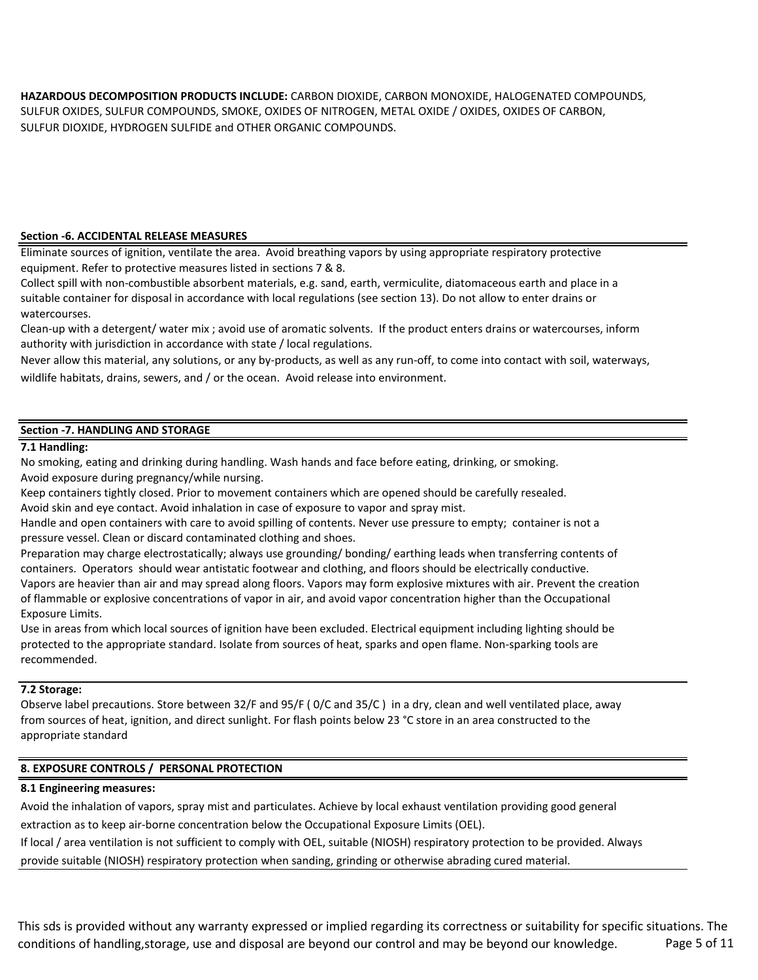SULFUR DIOXIDE, HYDROGEN SULFIDE and OTHER ORGANIC COMPOUNDS. **HAZARDOUS DECOMPOSITION PRODUCTS INCLUDE:** CARBON DIOXIDE, CARBON MONOXIDE, HALOGENATED COMPOUNDS, SULFUR OXIDES, SULFUR COMPOUNDS, SMOKE, OXIDES OF NITROGEN, METAL OXIDE / OXIDES, OXIDES OF CARBON,

## **Section -6. ACCIDENTAL RELEASE MEASURES**

Eliminate sources of ignition, ventilate the area. Avoid breathing vapors by using appropriate respiratory protective equipment. Refer to protective measures listed in sections 7 & 8.

Collect spill with non-combustible absorbent materials, e.g. sand, earth, vermiculite, diatomaceous earth and place in a suitable container for disposal in accordance with local regulations (see section 13). Do not allow to enter drains or watercourses.

Clean-up with a detergent/ water mix ; avoid use of aromatic solvents. If the product enters drains or watercourses, inform authority with jurisdiction in accordance with state / local regulations.

Never allow this material, any solutions, or any by-products, as well as any run-off, to come into contact with soil, waterways, wildlife habitats, drains, sewers, and / or the ocean. Avoid release into environment.

## **Section -7. HANDLING AND STORAGE**

## **7.1 Handling:**

No smoking, eating and drinking during handling. Wash hands and face before eating, drinking, or smoking. Avoid exposure during pregnancy/while nursing.

Keep containers tightly closed. Prior to movement containers which are opened should be carefully resealed.

Avoid skin and eye contact. Avoid inhalation in case of exposure to vapor and spray mist.

Handle and open containers with care to avoid spilling of contents. Never use pressure to empty; container is not a pressure vessel. Clean or discard contaminated clothing and shoes.

Preparation may charge electrostatically; always use grounding/ bonding/ earthing leads when transferring contents of containers. Operators should wear antistatic footwear and clothing, and floors should be electrically conductive. Vapors are heavier than air and may spread along floors. Vapors may form explosive mixtures with air. Prevent the creation of flammable or explosive concentrations of vapor in air, and avoid vapor concentration higher than the Occupational Exposure Limits.

Use in areas from which local sources of ignition have been excluded. Electrical equipment including lighting should be protected to the appropriate standard. Isolate from sources of heat, sparks and open flame. Non-sparking tools are recommended.

## **7.2 Storage:**

Observe label precautions. Store between 32/F and 95/F ( 0/C and 35/C ) in a dry, clean and well ventilated place, away from sources of heat, ignition, and direct sunlight. For flash points below 23 °C store in an area constructed to the appropriate standard

## **8. EXPOSURE CONTROLS / PERSONAL PROTECTION**

## **8.1 Engineering measures:**

Avoid the inhalation of vapors, spray mist and particulates. Achieve by local exhaust ventilation providing good general extraction as to keep air-borne concentration below the Occupational Exposure Limits (OEL).

If local / area ventilation is not sufficient to comply with OEL, suitable (NIOSH) respiratory protection to be provided. Always provide suitable (NIOSH) respiratory protection when sanding, grinding or otherwise abrading cured material.

This sds is provided without any warranty expressed or implied regarding its correctness or suitability for specific situations. The conditions of handling, storage, use and disposal are beyond our control and may be beyond our knowledge. Page 5 of 11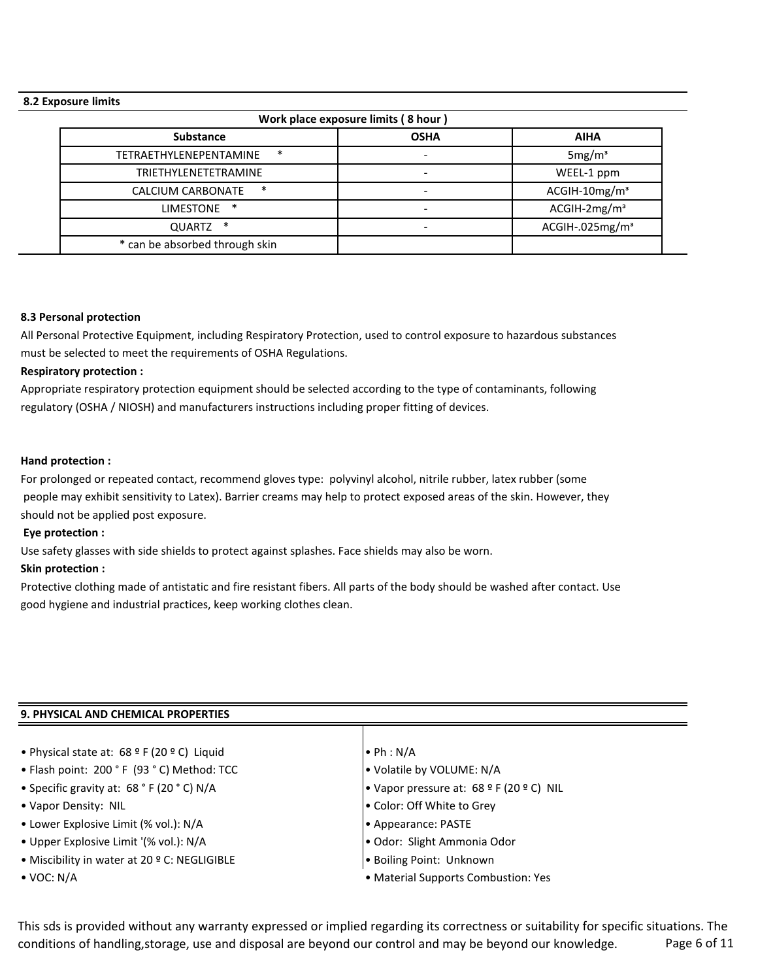## **8.2 Exposure limits**

| Work place exposure limits (8 hour) |                          |                             |  |  |
|-------------------------------------|--------------------------|-----------------------------|--|--|
| <b>Substance</b>                    | <b>OSHA</b>              | <b>AIHA</b>                 |  |  |
| $\ast$<br>TETRAETHYLENEPENTAMINE    | $\overline{\phantom{a}}$ | 5mg/m <sup>3</sup>          |  |  |
| <b>TRIETHYLENETETRAMINE</b>         | $\overline{\phantom{a}}$ | WEEL-1 ppm                  |  |  |
| $\ast$<br>CALCIUM CARBONATE         |                          | $ACGIH-10mg/m3$             |  |  |
| $\ast$<br><b>LIMESTONE</b>          |                          | $ACGIH-2mg/m3$              |  |  |
| $\ast$<br>QUARTZ                    | $\qquad \qquad$          | ACGIH-.025mg/m <sup>3</sup> |  |  |
| * can be absorbed through skin      |                          |                             |  |  |

#### **8.3 Personal protection**

All Personal Protective Equipment, including Respiratory Protection, used to control exposure to hazardous substances must be selected to meet the requirements of OSHA Regulations.

## **Respiratory protection :**

Appropriate respiratory protection equipment should be selected according to the type of contaminants, following regulatory (OSHA / NIOSH) and manufacturers instructions including proper fitting of devices.

#### **Hand protection :**

For prolonged or repeated contact, recommend gloves type: polyvinyl alcohol, nitrile rubber, latex rubber (some people may exhibit sensitivity to Latex). Barrier creams may help to protect exposed areas of the skin. However, they should not be applied post exposure.

## **Eye protection :**

Use safety glasses with side shields to protect against splashes. Face shields may also be worn.

#### **Skin protection :**

Protective clothing made of antistatic and fire resistant fibers. All parts of the body should be washed after contact. Use good hygiene and industrial practices, keep working clothes clean.

## **9. PHYSICAL AND CHEMICAL PROPERTIES**

- Physical state at:  $68^{\circ}$  F (20 ° C) Liquid  $\bullet$  Ph : N/A
- Flash point: 200 ° F (93 ° C) Method: TCC  $\bullet$  Volatile by VOLUME: N/A
- 
- 
- Lower Explosive Limit (% vol.): N/A Appearance: PASTE
- Upper Explosive Limit '(% vol.): N/A Odor: Slight Ammonia Odor
- Miscibility in water at 20 º C: NEGLIGIBLE  **Boiling Point: Unknown**
- 

- 
- Specific gravity at: 68 ° F (20 ° C) N/A Vapor pressure at: 68 º F (20 º C) NIL
- Vapor Density: NIL Color: Off White to Grey
	-
	-
	-
- VOC: N/A Material Supports Combustion: Yes

This sds is provided without any warranty expressed or implied regarding its correctness or suitability for specific situations. The conditions of handling, storage, use and disposal are beyond our control and may be beyond our knowledge. Page 6 of 11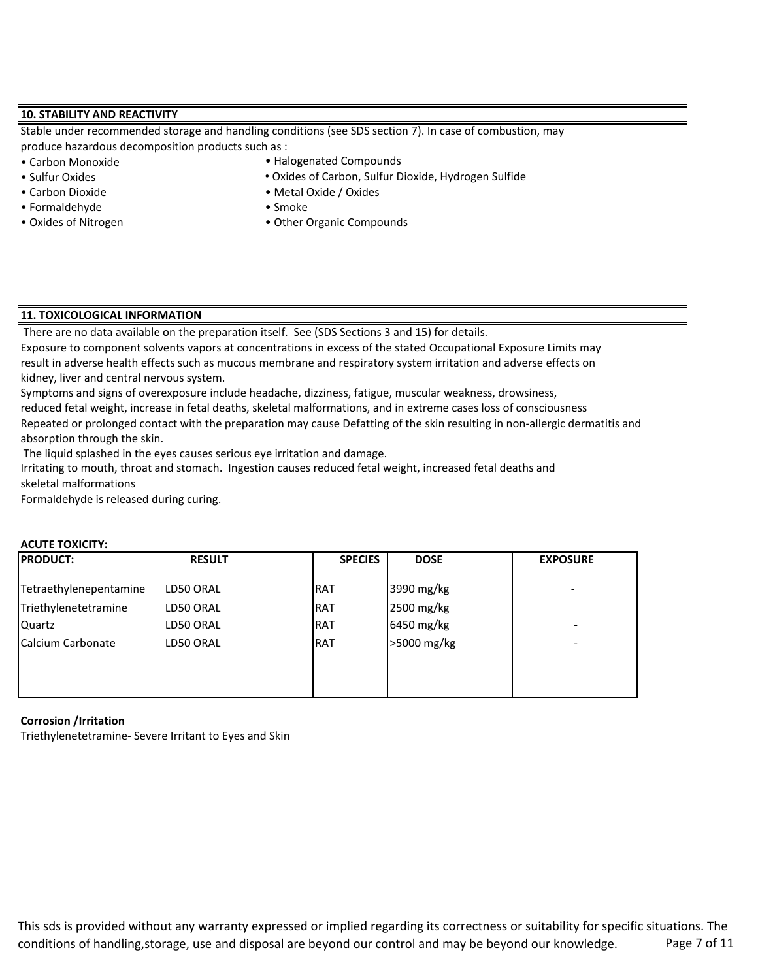## **10. STABILITY AND REACTIVITY**

Stable under recommended storage and handling conditions (see SDS section 7). In case of combustion, may produce hazardous decomposition products such as :

- Carbon Monoxide
- Sulfur Oxides
- Carbon Dioxide Metal Oxide / Oxides
- Formaldehyde Smoke
- 
- Halogenated Compounds
- Oxides of Carbon, Sulfur Dioxide, Hydrogen Sulfide
- 
- 
- Oxides of Nitrogen Other Organic Compounds

## **11. TOXICOLOGICAL INFORMATION**

There are no data available on the preparation itself. See (SDS Sections 3 and 15) for details.

Exposure to component solvents vapors at concentrations in excess of the stated Occupational Exposure Limits may result in adverse health effects such as mucous membrane and respiratory system irritation and adverse effects on kidney, liver and central nervous system.

Symptoms and signs of overexposure include headache, dizziness, fatigue, muscular weakness, drowsiness,

Repeated or prolonged contact with the preparation may cause Defatting of the skin resulting in non-allergic dermatitis and absorption through the skin. reduced fetal weight, increase in fetal deaths, skeletal malformations, and in extreme cases loss of consciousness

The liquid splashed in the eyes causes serious eye irritation and damage.

Irritating to mouth, throat and stomach. Ingestion causes reduced fetal weight, increased fetal deaths and skeletal malformations

Formaldehyde is released during curing.

| <b>PRODUCT:</b>        | <b>RESULT</b> | <b>SPECIES</b> | <b>DOSE</b> | <b>EXPOSURE</b> |
|------------------------|---------------|----------------|-------------|-----------------|
| Tetraethylenepentamine | LD50 ORAL     | IRAT           | 3990 mg/kg  |                 |
| Triethylenetetramine   | LD50 ORAL     | <b>IRAT</b>    | 2500 mg/kg  |                 |
| Quartz                 | LD50 ORAL     | <b>IRAT</b>    | 6450 mg/kg  | -               |
| Calcium Carbonate      | LD50 ORAL     | <b>IRAT</b>    | >5000 mg/kg | -               |
|                        |               |                |             |                 |
|                        |               |                |             |                 |
|                        |               |                |             |                 |

# **ACUTE TOXICITY:**

#### **Corrosion /Irritation**

Triethylenetetramine- Severe Irritant to Eyes and Skin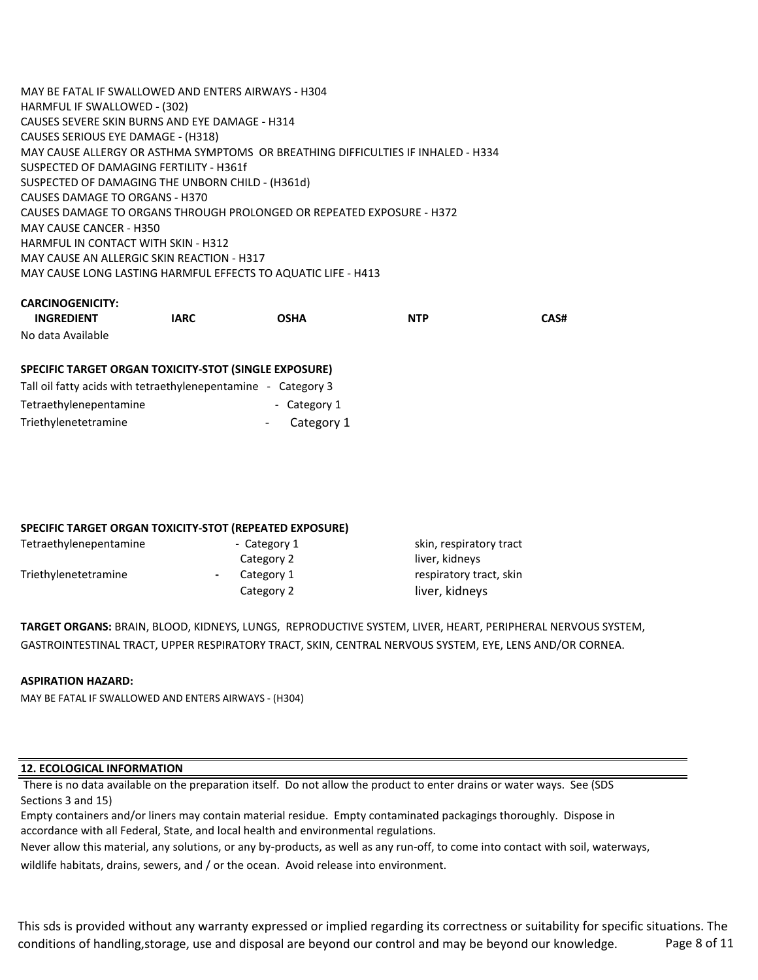MAY BE FATAL IF SWALLOWED AND ENTERS AIRWAYS - H304 HARMFUL IF SWALLOWED - (302) CAUSES SEVERE SKIN BURNS AND EYE DAMAGE - H314 CAUSES SERIOUS EYE DAMAGE - (H318) MAY CAUSE ALLERGY OR ASTHMA SYMPTOMS OR BREATHING DIFFICULTIES IF INHALED - H334 SUSPECTED OF DAMAGING FERTILITY - H361f SUSPECTED OF DAMAGING THE UNBORN CHILD - (H361d) CAUSES DAMAGE TO ORGANS - H370 CAUSES DAMAGE TO ORGANS THROUGH PROLONGED OR REPEATED EXPOSURE - H372 MAY CAUSE CANCER - H350 HARMFUL IN CONTACT WITH SKIN - H312 MAY CAUSE AN ALLERGIC SKIN REACTION - H317 MAY CAUSE LONG LASTING HARMFUL EFFECTS TO AQUATIC LIFE - H413

## **CARCINOGENICITY:**

| <b>INGREDIENT</b> | IARC | OSHA | <b>NTP</b> | CAS# |
|-------------------|------|------|------------|------|
| No data Available |      |      |            |      |

## **SPECIFIC TARGET ORGAN TOXICITY-STOT (SINGLE EXPOSURE)**

| Tall oil fatty acids with tetraethylenepentamine - Category 3 |              |
|---------------------------------------------------------------|--------------|
| Tetraethylenepentamine                                        | - Category 1 |
| Triethylenetetramine                                          | Category 1   |

## **SPECIFIC TARGET ORGAN TOXICITY-STOT (REPEATED EXPOSURE)**

| Tetraethylenepentamine | - Category 1 | skin, respiratory tract |
|------------------------|--------------|-------------------------|
|                        | Category 2   | liver, kidneys          |
| Triethylenetetramine   | Category 1   | respiratory tract, skin |
|                        | Category 2   | liver, kidneys          |

**TARGET ORGANS:** BRAIN, BLOOD, KIDNEYS, LUNGS, REPRODUCTIVE SYSTEM, LIVER, HEART, PERIPHERAL NERVOUS SYSTEM, GASTROINTESTINAL TRACT, UPPER RESPIRATORY TRACT, SKIN, CENTRAL NERVOUS SYSTEM, EYE, LENS AND/OR CORNEA.

#### **ASPIRATION HAZARD:**

MAY BE FATAL IF SWALLOWED AND ENTERS AIRWAYS - (H304)

#### **12. ECOLOGICAL INFORMATION**

 There is no data available on the preparation itself. Do not allow the product to enter drains or water ways. See (SDS Sections 3 and 15)

Empty containers and/or liners may contain material residue. Empty contaminated packagings thoroughly. Dispose in accordance with all Federal, State, and local health and environmental regulations.

Never allow this material, any solutions, or any by-products, as well as any run-off, to come into contact with soil, waterways, wildlife habitats, drains, sewers, and / or the ocean. Avoid release into environment.

This sds is provided without any warranty expressed or implied regarding its correctness or suitability for specific situations. The conditions of handling, storage, use and disposal are beyond our control and may be beyond our knowledge. Page 8 of 11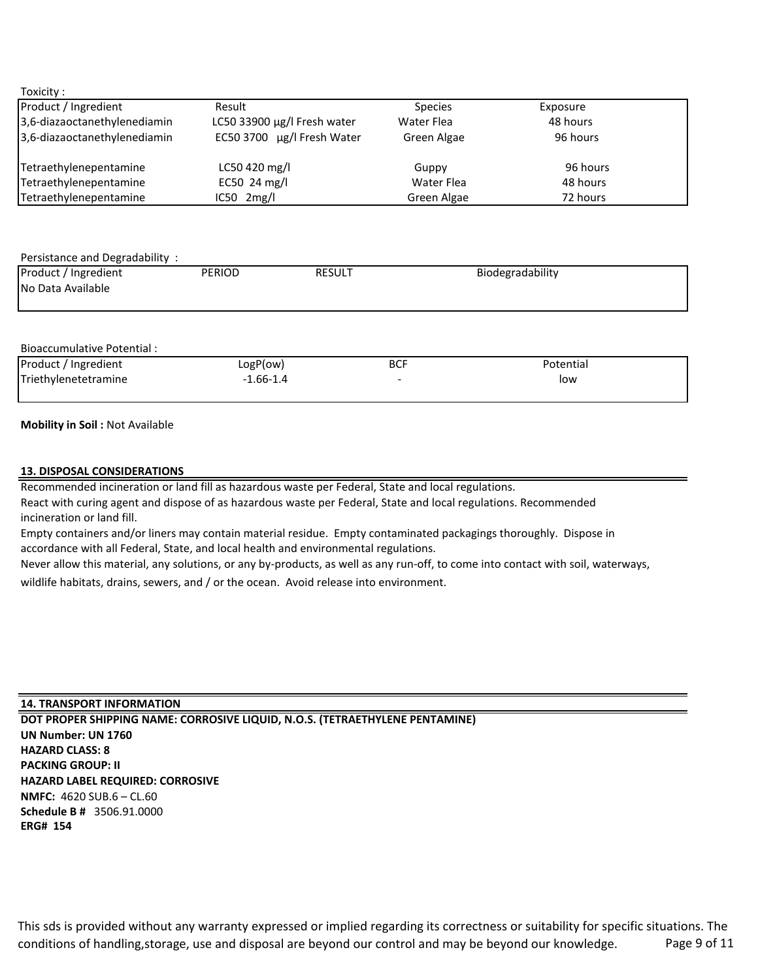| oxicit |  |
|--------|--|
|        |  |

| Product / Ingredient         | Result                      | <b>Species</b> | Exposure |
|------------------------------|-----------------------------|----------------|----------|
| 3,6-diazaoctanethylenediamin | LC50 33900 µg/l Fresh water | Water Flea     | 48 hours |
| 3,6-diazaoctanethylenediamin | EC50 3700 µg/l Fresh Water  | Green Algae    | 96 hours |
| Tetraethylenepentamine       | LC50 420 mg/l               | Guppy          | 96 hours |
| Tetraethylenepentamine       | EC50 24 mg/l                | Water Flea     | 48 hours |
| Tetraethylenepentamine       | $IC50$ 2mg/l                | Green Algae    | 72 hours |

| Persistance and Degradability:            |               |               |                  |  |  |  |
|-------------------------------------------|---------------|---------------|------------------|--|--|--|
| Product / Ingredient<br>No Data Available | <b>PERIOD</b> | <b>RESULT</b> | Biodegradability |  |  |  |
| Bioaccumulative Potential :               |               |               |                  |  |  |  |

| Product / Ingredient | LogP(ow)    | <b>BCF</b> | Potential |
|----------------------|-------------|------------|-----------|
| Triethylenetetramine | $-1.66-1.4$ | -          | low       |
|                      |             |            |           |

**Mobility in Soil :** Not Available

### **13. DISPOSAL CONSIDERATIONS**

Recommended incineration or land fill as hazardous waste per Federal, State and local regulations. React with curing agent and dispose of as hazardous waste per Federal, State and local regulations. Recommended incineration or land fill.

Empty containers and/or liners may contain material residue. Empty contaminated packagings thoroughly. Dispose in accordance with all Federal, State, and local health and environmental regulations.

Never allow this material, any solutions, or any by-products, as well as any run-off, to come into contact with soil, waterways,

wildlife habitats, drains, sewers, and / or the ocean. Avoid release into environment.

**14. TRANSPORT INFORMATION NMFC:** 4620 SUB.6 – CL.60 **Schedule B #** 3506.91.0000 **DOT PROPER SHIPPING NAME: CORROSIVE LIQUID, N.O.S. (TETRAETHYLENE PENTAMINE) UN Number: UN 1760 HAZARD CLASS: 8 PACKING GROUP: II HAZARD LABEL REQUIRED: CORROSIVE ERG# 154**

This sds is provided without any warranty expressed or implied regarding its correctness or suitability for specific situations. The conditions of handling, storage, use and disposal are beyond our control and may be beyond our knowledge. Page 9 of 11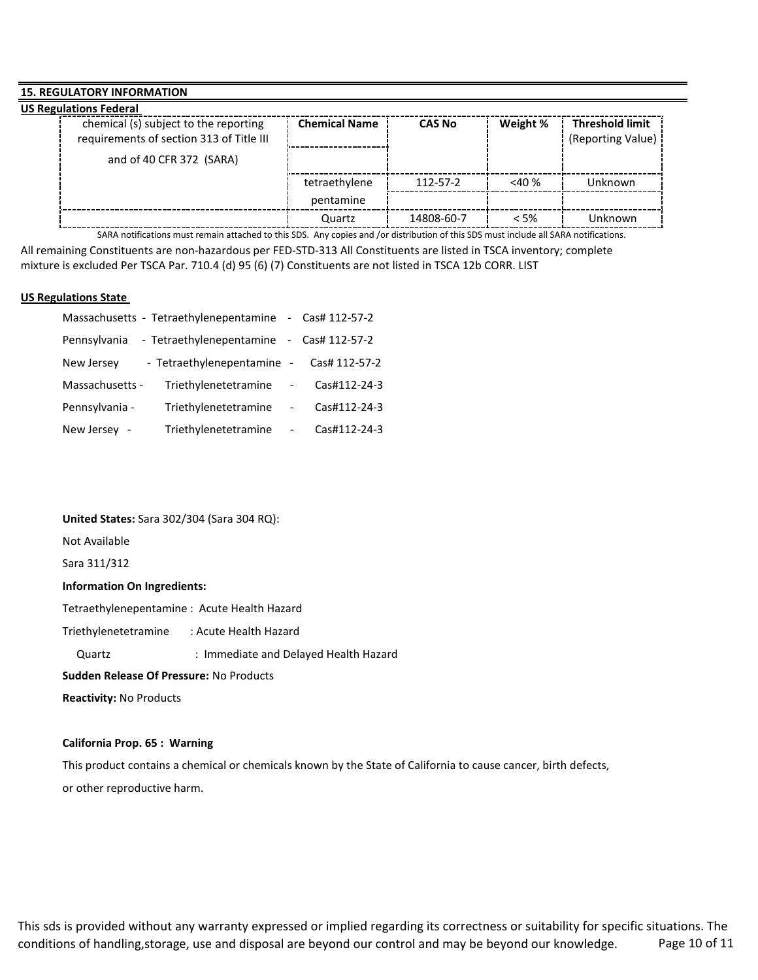## **15. REGULATORY INFORMATION**

| <b>US Regulations Federal</b>            |                      |               |          |                        |
|------------------------------------------|----------------------|---------------|----------|------------------------|
| chemical (s) subject to the reporting    | <b>Chemical Name</b> | <b>CAS No</b> | Weight % | <b>Threshold limit</b> |
| requirements of section 313 of Title III |                      |               |          | (Reporting Value)      |
| and of 40 CFR 372 (SARA)                 |                      |               |          |                        |
|                                          | tetraethylene        | 112-57-2      | $<$ 40 % | Unknown                |
|                                          | pentamine            |               |          |                        |
|                                          | Quartz               | 14808-60-7    | $<$ 5%   | Unknown                |

SARA notifications must remain attached to this SDS. Any copies and /or distribution of this SDS must include all SARA notifications.

All remaining Constituents are non-hazardous per FED-STD-313 All Constituents are listed in TSCA inventory; complete mixture is excluded Per TSCA Par. 710.4 (d) 95 (6) (7) Constituents are not listed in TSCA 12b CORR. LIST

#### **US Regulations State**

|                 | Massachusetts - Tetraethylenepentamine |                          | - $\text{Cas}\# 112 - 57 - 2$ |
|-----------------|----------------------------------------|--------------------------|-------------------------------|
| Pennsylvania    | - Tetraethylenepentamine               |                          | - $\text{Cas}\# 112 - 57 - 2$ |
| New Jersey      | - Tetraethylenepentamine -             |                          | Cas# 112-57-2                 |
| Massachusetts - | Triethylenetetramine                   | $\overline{\phantom{a}}$ | Cas#112-24-3                  |
| Pennsylvania -  | Triethylenetetramine                   | $\overline{a}$           | Cas#112-24-3                  |
| New Jersey -    | Triethylenetetramine                   |                          | Cas#112-24-3                  |

### **United States:** Sara 302/304 (Sara 304 RQ):

Not Available

Sara 311/312

## **Information On Ingredients:**

Tetraethylenepentamine : Acute Health Hazard

Triethylenetetramine : Acute Health Hazard

Quartz : Immediate and Delayed Health Hazard

#### **Sudden Release Of Pressure:** No Products

**Reactivity:** No Products

#### **California Prop. 65 : Warning**

This product contains a chemical or chemicals known by the State of California to cause cancer, birth defects, or other reproductive harm.